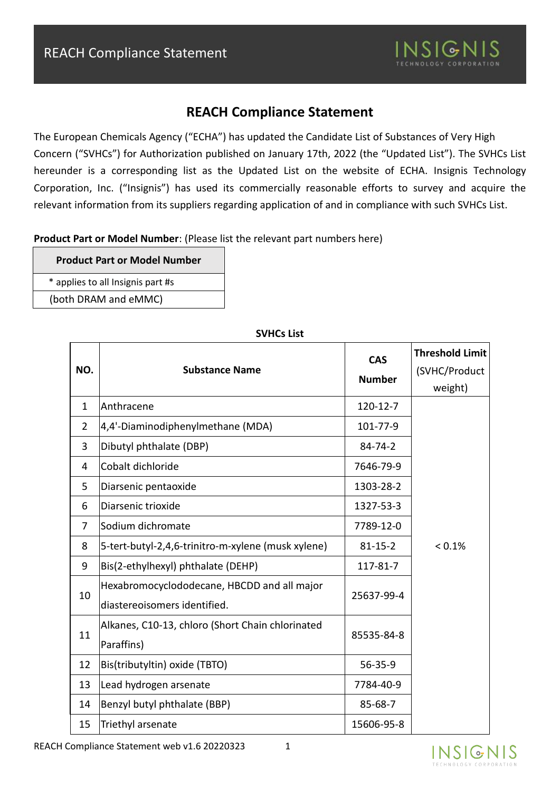

The European Chemicals Agency ("ECHA") has updated the Candidate List of Substances of Very High Concern ("SVHCs") for Authorization published on January 17th, 2022 (the "Updated List"). The SVHCs List hereunder is a corresponding list as the Updated List on the website of ECHA. Insignis Technology Corporation, Inc. ("Insignis") has used its commercially reasonable efforts to survey and acquire the relevant information from its suppliers regarding application of and in compliance with such SVHCs List.

**Product Part or Model Number**: (Please list the relevant part numbers here)

**Product Part or Model Number**

\* applies to all Insignis part #s

(both DRAM and eMMC)

| NO.            | <b>Substance Name</b>                                                       | <b>CAS</b><br><b>Number</b> | <b>Threshold Limit</b><br>(SVHC/Product<br>weight) |
|----------------|-----------------------------------------------------------------------------|-----------------------------|----------------------------------------------------|
| $\mathbf{1}$   | Anthracene                                                                  | 120-12-7                    |                                                    |
| $\overline{2}$ | 4,4'-Diaminodiphenylmethane (MDA)                                           | 101-77-9                    |                                                    |
| 3              | Dibutyl phthalate (DBP)                                                     | $84 - 74 - 2$               |                                                    |
| 4              | Cobalt dichloride                                                           | 7646-79-9                   |                                                    |
| 5              | Diarsenic pentaoxide                                                        | 1303-28-2                   |                                                    |
| 6              | Diarsenic trioxide                                                          | 1327-53-3                   |                                                    |
| $\overline{7}$ | Sodium dichromate                                                           | 7789-12-0                   |                                                    |
| 8              | 5-tert-butyl-2,4,6-trinitro-m-xylene (musk xylene)                          | $81 - 15 - 2$               | $< 0.1\%$                                          |
| 9              | Bis(2-ethylhexyl) phthalate (DEHP)                                          | 117-81-7                    |                                                    |
| 10             | Hexabromocyclododecane, HBCDD and all major<br>diastereoisomers identified. | 25637-99-4                  |                                                    |
| 11             | Alkanes, C10-13, chloro (Short Chain chlorinated<br>Paraffins)              | 85535-84-8                  |                                                    |
| 12             | Bis(tributyltin) oxide (TBTO)                                               | $56 - 35 - 9$               |                                                    |
| 13             | Lead hydrogen arsenate                                                      | 7784-40-9                   |                                                    |
| 14             | Benzyl butyl phthalate (BBP)                                                | 85-68-7                     |                                                    |
| 15             | Triethyl arsenate                                                           | 15606-95-8                  |                                                    |

#### **SVHCs List**

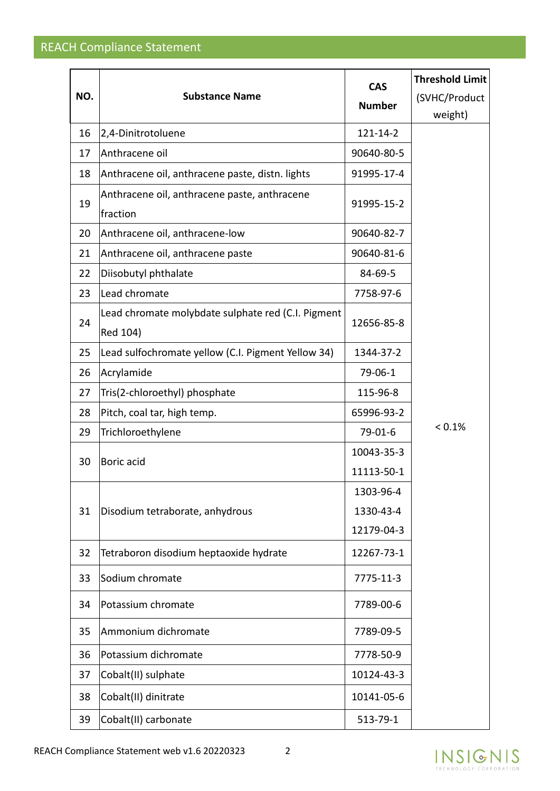|     |                                                                | <b>CAS</b>    | <b>Threshold Limit</b> |
|-----|----------------------------------------------------------------|---------------|------------------------|
| NO. | <b>Substance Name</b>                                          | <b>Number</b> | (SVHC/Product          |
|     |                                                                |               | weight)                |
| 16  | 2,4-Dinitrotoluene                                             | 121-14-2      |                        |
| 17  | Anthracene oil                                                 | 90640-80-5    |                        |
| 18  | Anthracene oil, anthracene paste, distn. lights                | 91995-17-4    |                        |
| 19  | Anthracene oil, anthracene paste, anthracene<br>fraction       | 91995-15-2    |                        |
| 20  | Anthracene oil, anthracene-low                                 | 90640-82-7    |                        |
| 21  | Anthracene oil, anthracene paste                               | 90640-81-6    |                        |
| 22  | Diisobutyl phthalate                                           | 84-69-5       |                        |
| 23  | Lead chromate                                                  | 7758-97-6     |                        |
| 24  | Lead chromate molybdate sulphate red (C.I. Pigment<br>Red 104) | 12656-85-8    |                        |
| 25  | Lead sulfochromate yellow (C.I. Pigment Yellow 34)             | 1344-37-2     |                        |
| 26  | Acrylamide                                                     | 79-06-1       |                        |
| 27  | Tris(2-chloroethyl) phosphate                                  | 115-96-8      |                        |
| 28  | Pitch, coal tar, high temp.                                    | 65996-93-2    |                        |
| 29  | Trichloroethylene                                              | $79-01-6$     | < 0.1%                 |
| 30  | Boric acid                                                     | 10043-35-3    |                        |
|     |                                                                | 11113-50-1    |                        |
|     |                                                                | 1303-96-4     |                        |
| 31  | Disodium tetraborate, anhydrous                                | 1330-43-4     |                        |
|     |                                                                | 12179-04-3    |                        |
| 32  | Tetraboron disodium heptaoxide hydrate                         | 12267-73-1    |                        |
| 33  | Sodium chromate                                                | 7775-11-3     |                        |
| 34  | Potassium chromate                                             | 7789-00-6     |                        |
| 35  | Ammonium dichromate                                            | 7789-09-5     |                        |
| 36  | Potassium dichromate                                           | 7778-50-9     |                        |
| 37  | Cobalt(II) sulphate                                            | 10124-43-3    |                        |
| 38  | Cobalt(II) dinitrate                                           | 10141-05-6    |                        |
| 39  | Cobalt(II) carbonate                                           | 513-79-1      |                        |

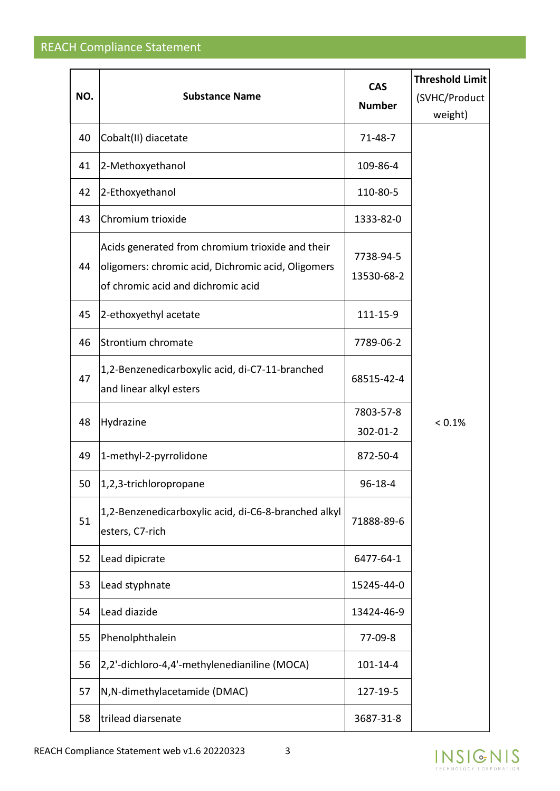| NO. | <b>Substance Name</b>                                                                                                                        | <b>CAS</b><br><b>Number</b> | <b>Threshold Limit</b><br>(SVHC/Product<br>weight) |
|-----|----------------------------------------------------------------------------------------------------------------------------------------------|-----------------------------|----------------------------------------------------|
| 40  | Cobalt(II) diacetate                                                                                                                         | 71-48-7                     |                                                    |
| 41  | 2-Methoxyethanol                                                                                                                             | 109-86-4                    |                                                    |
| 42  | 2-Ethoxyethanol                                                                                                                              | 110-80-5                    |                                                    |
| 43  | Chromium trioxide                                                                                                                            | 1333-82-0                   |                                                    |
| 44  | Acids generated from chromium trioxide and their<br>oligomers: chromic acid, Dichromic acid, Oligomers<br>of chromic acid and dichromic acid | 7738-94-5<br>13530-68-2     |                                                    |
| 45  | 2-ethoxyethyl acetate                                                                                                                        | 111-15-9                    |                                                    |
| 46  | Strontium chromate                                                                                                                           | 7789-06-2                   |                                                    |
| 47  | 1,2-Benzenedicarboxylic acid, di-C7-11-branched<br>and linear alkyl esters                                                                   | 68515-42-4                  |                                                    |
| 48  | Hydrazine                                                                                                                                    | 7803-57-8<br>302-01-2       | < 0.1%                                             |
| 49  | 1-methyl-2-pyrrolidone                                                                                                                       | 872-50-4                    |                                                    |
| 50  | 1,2,3-trichloropropane                                                                                                                       | $96 - 18 - 4$               |                                                    |
| 51  | 1,2-Benzenedicarboxylic acid, di-C6-8-branched alkyl<br>esters, C7-rich                                                                      | 71888-89-6                  |                                                    |
| 52  | Lead dipicrate                                                                                                                               | 6477-64-1                   |                                                    |
| 53  | Lead styphnate                                                                                                                               | 15245-44-0                  |                                                    |
| 54  | Lead diazide                                                                                                                                 | 13424-46-9                  |                                                    |
| 55  | Phenolphthalein                                                                                                                              | 77-09-8                     |                                                    |
| 56  | 2,2'-dichloro-4,4'-methylenedianiline (MOCA)                                                                                                 | 101-14-4                    |                                                    |
| 57  | N, N-dimethylacetamide (DMAC)                                                                                                                | 127-19-5                    |                                                    |
| 58  | trilead diarsenate                                                                                                                           | 3687-31-8                   |                                                    |

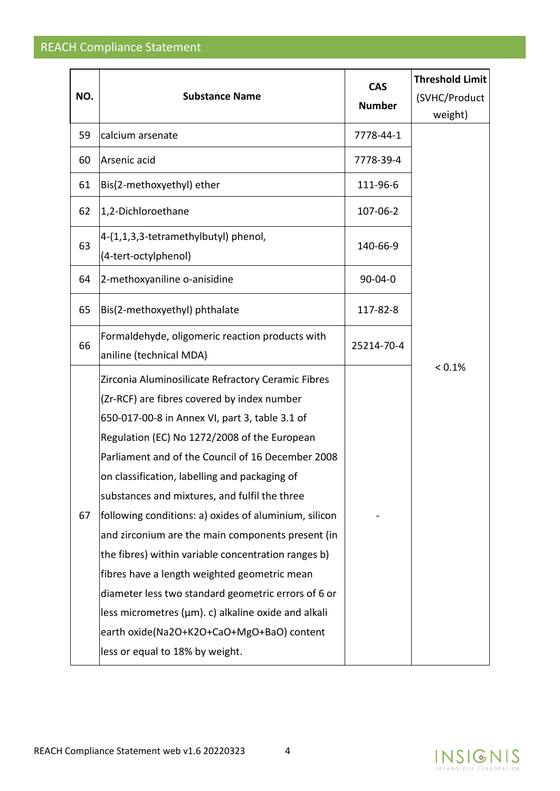|     |                                                       | <b>CAS</b>    | <b>Threshold Limit</b> |
|-----|-------------------------------------------------------|---------------|------------------------|
| NO. | <b>Substance Name</b>                                 | <b>Number</b> | (SVHC/Product          |
|     |                                                       |               | weight)                |
| 59  | calcium arsenate                                      | 7778-44-1     |                        |
| 60  | Arsenic acid                                          | 7778-39-4     |                        |
| 61  | Bis(2-methoxyethyl) ether                             | 111-96-6      |                        |
| 62  | 1,2-Dichloroethane                                    | 107-06-2      |                        |
| 63  | 4-(1,1,3,3-tetramethylbutyl) phenol,                  | 140-66-9      |                        |
|     | (4-tert-octylphenol)                                  |               |                        |
| 64  | 2-methoxyaniline o-anisidine                          | $90 - 04 - 0$ |                        |
| 65  | Bis(2-methoxyethyl) phthalate                         | 117-82-8      |                        |
| 66  | Formaldehyde, oligomeric reaction products with       | 25214-70-4    |                        |
|     | aniline (technical MDA)                               |               | < 0.1%                 |
|     | Zirconia Aluminosilicate Refractory Ceramic Fibres    |               |                        |
|     | (Zr-RCF) are fibres covered by index number           |               |                        |
|     | 650-017-00-8 in Annex VI, part 3, table 3.1 of        |               |                        |
|     | Regulation (EC) No 1272/2008 of the European          |               |                        |
|     | Parliament and of the Council of 16 December 2008     |               |                        |
|     | on classification, labelling and packaging of         |               |                        |
|     | substances and mixtures, and fulfil the three         |               |                        |
| 67  | following conditions: a) oxides of aluminium, silicon |               |                        |
|     | and zirconium are the main components present (in     |               |                        |
|     | the fibres) within variable concentration ranges b)   |               |                        |
|     | fibres have a length weighted geometric mean          |               |                        |
|     | diameter less two standard geometric errors of 6 or   |               |                        |
|     | less micrometres (µm). c) alkaline oxide and alkali   |               |                        |
|     | earth oxide(Na2O+K2O+CaO+MgO+BaO) content             |               |                        |
|     | less or equal to 18% by weight.                       |               |                        |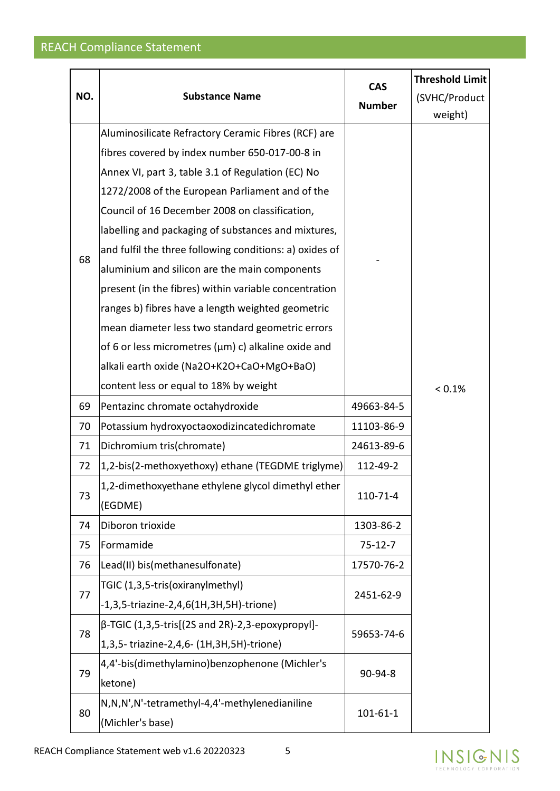|  | NO. | <b>Substance Name</b>                                             | <b>CAS</b><br><b>Number</b> | <b>Threshold Limit</b><br>(SVHC/Product<br>weight) |
|--|-----|-------------------------------------------------------------------|-----------------------------|----------------------------------------------------|
|  |     | Aluminosilicate Refractory Ceramic Fibres (RCF) are               |                             |                                                    |
|  |     | fibres covered by index number 650-017-00-8 in                    |                             |                                                    |
|  |     | Annex VI, part 3, table 3.1 of Regulation (EC) No                 |                             |                                                    |
|  |     | 1272/2008 of the European Parliament and of the                   |                             |                                                    |
|  |     | Council of 16 December 2008 on classification,                    |                             |                                                    |
|  |     | labelling and packaging of substances and mixtures,               |                             |                                                    |
|  | 68  | and fulfil the three following conditions: a) oxides of           |                             |                                                    |
|  |     | aluminium and silicon are the main components                     |                             |                                                    |
|  |     | present (in the fibres) within variable concentration             |                             |                                                    |
|  |     | ranges b) fibres have a length weighted geometric                 |                             |                                                    |
|  |     | mean diameter less two standard geometric errors                  |                             |                                                    |
|  |     | of 6 or less micrometres (µm) c) alkaline oxide and               |                             |                                                    |
|  |     | alkali earth oxide (Na2O+K2O+CaO+MgO+BaO)                         |                             |                                                    |
|  |     | content less or equal to 18% by weight                            |                             | < 0.1%                                             |
|  | 69  | Pentazinc chromate octahydroxide                                  | 49663-84-5                  |                                                    |
|  | 70  | Potassium hydroxyoctaoxodizincatedichromate                       | 11103-86-9                  |                                                    |
|  | 71  | Dichromium tris(chromate)                                         | 24613-89-6                  |                                                    |
|  | 72  | 1,2-bis(2-methoxyethoxy) ethane (TEGDME triglyme)                 | 112-49-2                    |                                                    |
|  | 73  | 1,2-dimethoxyethane ethylene glycol dimethyl ether<br>(EGDME)     | 110-71-4                    |                                                    |
|  | 74  | Diboron trioxide                                                  | 1303-86-2                   |                                                    |
|  | 75  | Formamide                                                         | $75-12-7$                   |                                                    |
|  | 76  | Lead(II) bis(methanesulfonate)                                    | 17570-76-2                  |                                                    |
|  |     | TGIC (1,3,5-tris(oxiranylmethyl)                                  |                             |                                                    |
|  | 77  | -1,3,5-triazine-2,4,6(1H,3H,5H)-trione)                           | 2451-62-9                   |                                                    |
|  |     | $\beta$ -TGIC (1,3,5-tris[(2S and 2R)-2,3-epoxypropyl]-           |                             |                                                    |
|  | 78  | 1,3,5-triazine-2,4,6- (1H,3H,5H)-trione)                          | 59653-74-6                  |                                                    |
|  |     | 4,4'-bis(dimethylamino)benzophenone (Michler's                    |                             |                                                    |
|  | 79  | ketone)                                                           | 90-94-8                     |                                                    |
|  | 80  | N,N,N',N'-tetramethyl-4,4'-methylenedianiline<br>(Michler's base) | $101 - 61 - 1$              |                                                    |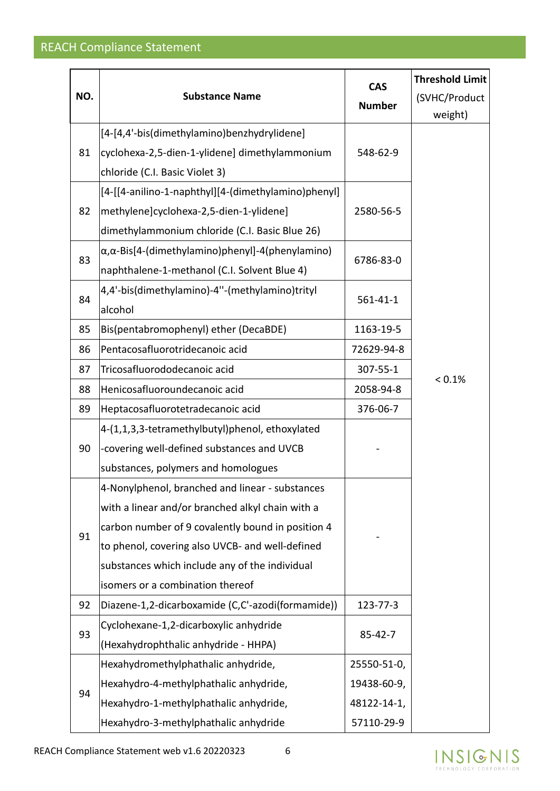|  | NO. | <b>Substance Name</b>                                     | <b>CAS</b><br><b>Number</b> | <b>Threshold Limit</b><br>(SVHC/Product<br>weight) |
|--|-----|-----------------------------------------------------------|-----------------------------|----------------------------------------------------|
|  |     | [4-[4,4'-bis(dimethylamino)benzhydrylidene]               |                             |                                                    |
|  | 81  | cyclohexa-2,5-dien-1-ylidene] dimethylammonium            | 548-62-9                    |                                                    |
|  |     | chloride (C.I. Basic Violet 3)                            |                             |                                                    |
|  |     | [4-[[4-anilino-1-naphthyl][4-(dimethylamino)phenyl]       |                             |                                                    |
|  | 82  | methylene]cyclohexa-2,5-dien-1-ylidene]                   | 2580-56-5                   |                                                    |
|  |     | dimethylammonium chloride (C.I. Basic Blue 26)            |                             |                                                    |
|  |     | α, α-Bis[4-(dimethylamino)phenyl]-4(phenylamino)          |                             |                                                    |
|  | 83  | naphthalene-1-methanol (C.I. Solvent Blue 4)              | 6786-83-0                   |                                                    |
|  | 84  | 4,4'-bis(dimethylamino)-4"-(methylamino)trityl<br>alcohol | $561 - 41 - 1$              |                                                    |
|  | 85  | Bis(pentabromophenyl) ether (DecaBDE)                     | 1163-19-5                   |                                                    |
|  | 86  | Pentacosafluorotridecanoic acid                           | 72629-94-8                  |                                                    |
|  | 87  | Tricosafluorododecanoic acid                              | 307-55-1                    |                                                    |
|  | 88  | Henicosafluoroundecanoic acid                             | 2058-94-8                   | < 0.1%                                             |
|  | 89  | Heptacosafluorotetradecanoic acid                         | 376-06-7                    |                                                    |
|  |     | 4-(1,1,3,3-tetramethylbutyl)phenol, ethoxylated           |                             |                                                    |
|  | 90  | -covering well-defined substances and UVCB                |                             |                                                    |
|  |     | substances, polymers and homologues                       |                             |                                                    |
|  |     | 4-Nonylphenol, branched and linear - substances           |                             |                                                    |
|  |     | with a linear and/or branched alkyl chain with a          |                             |                                                    |
|  | 91  | carbon number of 9 covalently bound in position 4         |                             |                                                    |
|  |     | to phenol, covering also UVCB- and well-defined           |                             |                                                    |
|  |     | substances which include any of the individual            |                             |                                                    |
|  |     | isomers or a combination thereof                          |                             |                                                    |
|  | 92  | Diazene-1,2-dicarboxamide (C,C'-azodi(formamide))         | 123-77-3                    |                                                    |
|  | 93  | Cyclohexane-1,2-dicarboxylic anhydride                    | $85 - 42 - 7$               |                                                    |
|  |     | (Hexahydrophthalic anhydride - HHPA)                      |                             |                                                    |
|  |     | Hexahydromethylphathalic anhydride,                       | 25550-51-0,                 |                                                    |
|  | 94  | Hexahydro-4-methylphathalic anhydride,                    | 19438-60-9,                 |                                                    |
|  |     | Hexahydro-1-methylphathalic anhydride,                    | 48122-14-1,                 |                                                    |
|  |     | Hexahydro-3-methylphathalic anhydride                     | 57110-29-9                  |                                                    |



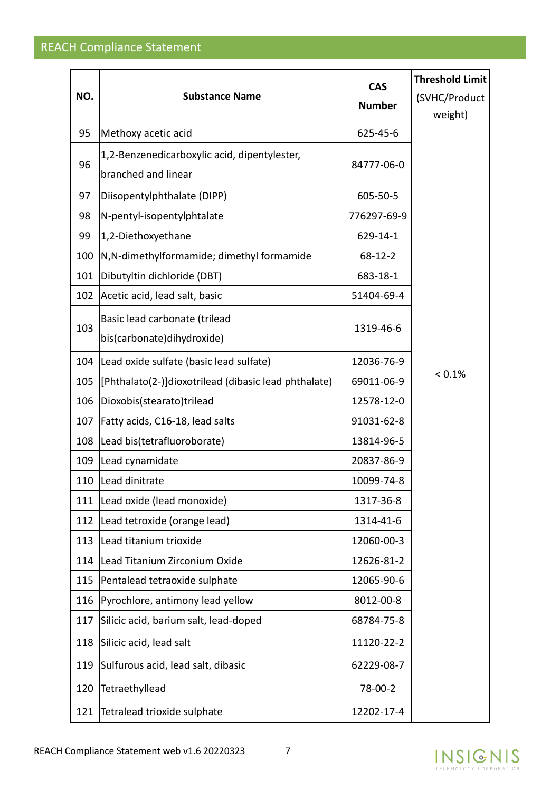|     |                                                      | <b>CAS</b>    | <b>Threshold Limit</b> |
|-----|------------------------------------------------------|---------------|------------------------|
| NO. | <b>Substance Name</b>                                | <b>Number</b> | (SVHC/Product          |
|     |                                                      |               | weight)                |
| 95  | Methoxy acetic acid                                  | 625-45-6      |                        |
| 96  | 1,2-Benzenedicarboxylic acid, dipentylester,         | 84777-06-0    |                        |
|     | branched and linear                                  |               |                        |
| 97  | Diisopentylphthalate (DIPP)                          | 605-50-5      |                        |
| 98  | N-pentyl-isopentylphtalate                           | 776297-69-9   |                        |
| 99  | 1,2-Diethoxyethane                                   | 629-14-1      |                        |
| 100 | N,N-dimethylformamide; dimethyl formamide            | 68-12-2       |                        |
| 101 | Dibutyltin dichloride (DBT)                          | 683-18-1      |                        |
| 102 | Acetic acid, lead salt, basic                        | 51404-69-4    |                        |
|     | Basic lead carbonate (trilead                        |               |                        |
| 103 | bis(carbonate)dihydroxide)                           | 1319-46-6     |                        |
| 104 | Lead oxide sulfate (basic lead sulfate)              | 12036-76-9    |                        |
| 105 | [Phthalato(2-)]dioxotrilead (dibasic lead phthalate) | 69011-06-9    | < 0.1%                 |
| 106 | Dioxobis(stearato)trilead                            | 12578-12-0    |                        |
| 107 | Fatty acids, C16-18, lead salts                      | 91031-62-8    |                        |
| 108 | Lead bis(tetrafluoroborate)                          | 13814-96-5    |                        |
| 109 | Lead cynamidate                                      | 20837-86-9    |                        |
| 110 | Lead dinitrate                                       | 10099-74-8    |                        |
| 111 | Lead oxide (lead monoxide)                           | 1317-36-8     |                        |
| 112 | Lead tetroxide (orange lead)                         | 1314-41-6     |                        |
| 113 | Lead titanium trioxide                               | 12060-00-3    |                        |
| 114 | Lead Titanium Zirconium Oxide                        | 12626-81-2    |                        |
| 115 | Pentalead tetraoxide sulphate                        | 12065-90-6    |                        |
| 116 | Pyrochlore, antimony lead yellow                     | 8012-00-8     |                        |
| 117 | Silicic acid, barium salt, lead-doped                | 68784-75-8    |                        |
| 118 | Silicic acid, lead salt                              | 11120-22-2    |                        |
| 119 | Sulfurous acid, lead salt, dibasic                   | 62229-08-7    |                        |
| 120 | Tetraethyllead                                       | 78-00-2       |                        |
| 121 | Tetralead trioxide sulphate                          | 12202-17-4    |                        |

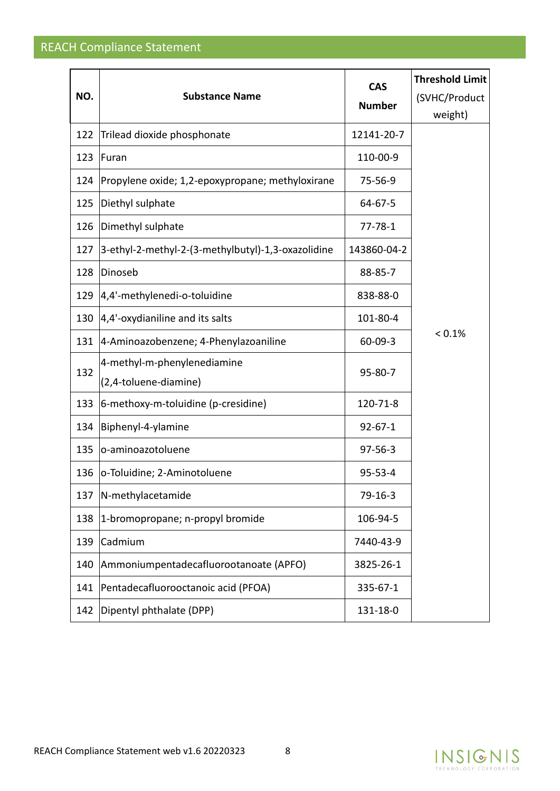| NO. | <b>Substance Name</b>                                | <b>CAS</b><br><b>Number</b> | <b>Threshold Limit</b><br>(SVHC/Product<br>weight) |
|-----|------------------------------------------------------|-----------------------------|----------------------------------------------------|
| 122 | Trilead dioxide phosphonate                          | 12141-20-7                  |                                                    |
| 123 | Furan                                                | 110-00-9                    |                                                    |
| 124 | Propylene oxide; 1,2-epoxypropane; methyloxirane     | 75-56-9                     |                                                    |
| 125 | Diethyl sulphate                                     | 64-67-5                     |                                                    |
| 126 | Dimethyl sulphate                                    | $77 - 78 - 1$               |                                                    |
| 127 | 3-ethyl-2-methyl-2-(3-methylbutyl)-1,3-oxazolidine   | 143860-04-2                 |                                                    |
| 128 | Dinoseb                                              | 88-85-7                     |                                                    |
| 129 | 4,4'-methylenedi-o-toluidine                         | 838-88-0                    |                                                    |
| 130 | $ 4,4'$ -oxydianiline and its salts                  | 101-80-4                    |                                                    |
| 131 | 4-Aminoazobenzene; 4-Phenylazoaniline                | $60 - 09 - 3$               | < 0.1%                                             |
| 132 | 4-methyl-m-phenylenediamine<br>(2,4-toluene-diamine) | $95 - 80 - 7$               |                                                    |
| 133 | 6-methoxy-m-toluidine (p-cresidine)                  | 120-71-8                    |                                                    |
| 134 | Biphenyl-4-ylamine                                   | $92 - 67 - 1$               |                                                    |
| 135 | o-aminoazotoluene                                    | $97 - 56 - 3$               |                                                    |
| 136 | o-Toluidine; 2-Aminotoluene                          | $95 - 53 - 4$               |                                                    |
| 137 | N-methylacetamide                                    | $79-16-3$                   |                                                    |
| 138 | 1-bromopropane; n-propyl bromide                     | 106-94-5                    |                                                    |
| 139 | Cadmium                                              | 7440-43-9                   |                                                    |
| 140 | Ammoniumpentadecafluorootanoate (APFO)               | 3825-26-1                   |                                                    |
| 141 | Pentadecafluorooctanoic acid (PFOA)                  | 335-67-1                    |                                                    |
| 142 | Dipentyl phthalate (DPP)                             | 131-18-0                    |                                                    |

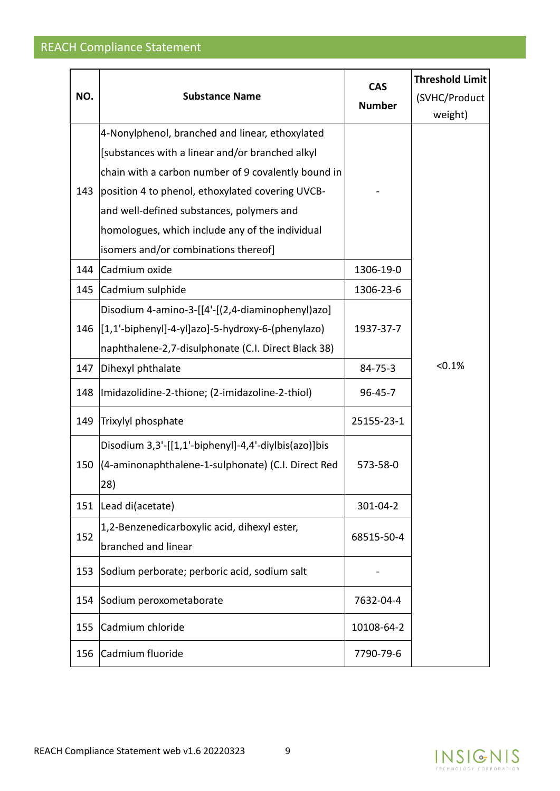|     |                                                       | <b>CAS</b>    | <b>Threshold Limit</b> |
|-----|-------------------------------------------------------|---------------|------------------------|
| NO. | <b>Substance Name</b>                                 | <b>Number</b> | (SVHC/Product          |
|     |                                                       |               | weight)                |
|     | 4-Nonylphenol, branched and linear, ethoxylated       |               |                        |
|     | [substances with a linear and/or branched alkyl       |               |                        |
|     | chain with a carbon number of 9 covalently bound in   |               |                        |
| 143 | position 4 to phenol, ethoxylated covering UVCB-      |               |                        |
|     | and well-defined substances, polymers and             |               |                        |
|     | homologues, which include any of the individual       |               |                        |
|     | isomers and/or combinations thereof]                  |               |                        |
| 144 | Cadmium oxide                                         | 1306-19-0     |                        |
| 145 | Cadmium sulphide                                      | 1306-23-6     |                        |
|     | Disodium 4-amino-3-[[4'-[(2,4-diaminophenyl)azo]      |               |                        |
|     | 146 [1,1'-biphenyl]-4-yl]azo]-5-hydroxy-6-(phenylazo) | 1937-37-7     |                        |
|     | naphthalene-2,7-disulphonate (C.I. Direct Black 38)   |               |                        |
| 147 | Dihexyl phthalate                                     | 84-75-3       | < 0.1%                 |
| 148 | (Imidazolidine-2-thione; (2-imidazoline-2-thiol)      | $96 - 45 - 7$ |                        |
| 149 | Trixylyl phosphate                                    | 25155-23-1    |                        |
|     | Disodium 3,3'-[[1,1'-biphenyl]-4,4'-diylbis(azo)]bis  |               |                        |
| 150 | (4-aminonaphthalene-1-sulphonate) (C.I. Direct Red    | 573-58-0      |                        |
|     | 28)                                                   |               |                        |
| 151 | Lead di(acetate)                                      | 301-04-2      |                        |
|     | 1,2-Benzenedicarboxylic acid, dihexyl ester,          |               |                        |
| 152 | branched and linear                                   | 68515-50-4    |                        |
| 153 | Sodium perborate; perboric acid, sodium salt          |               |                        |
| 154 | Sodium peroxometaborate                               | 7632-04-4     |                        |
| 155 | Cadmium chloride                                      | 10108-64-2    |                        |
| 156 | Cadmium fluoride                                      | 7790-79-6     |                        |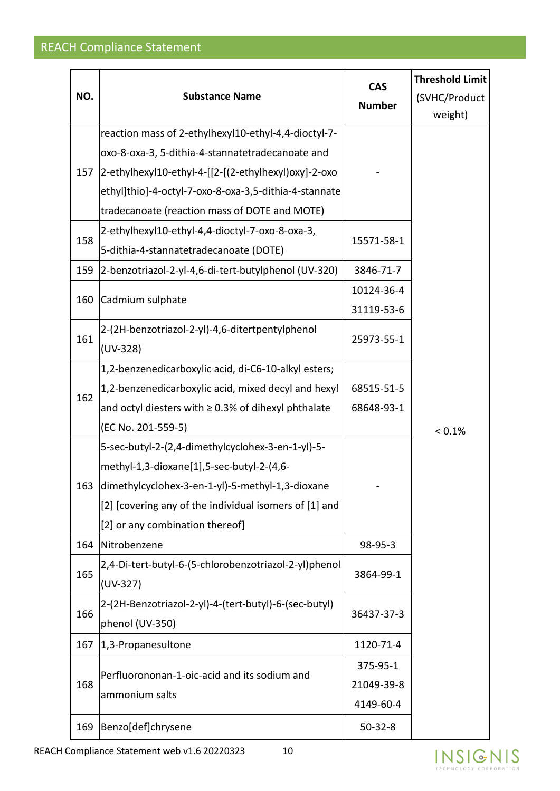| NO. | <b>Substance Name</b>                                                                                                                                                                                                                           | <b>CAS</b><br><b>Number</b>         | <b>Threshold Limit</b><br>(SVHC/Product<br>weight) |
|-----|-------------------------------------------------------------------------------------------------------------------------------------------------------------------------------------------------------------------------------------------------|-------------------------------------|----------------------------------------------------|
| 157 | reaction mass of 2-ethylhexyl10-ethyl-4,4-dioctyl-7-<br>oxo-8-oxa-3, 5-dithia-4-stannatetradecanoate and<br>2-ethylhexyl10-ethyl-4-[[2-[(2-ethylhexyl)oxy]-2-oxo                                                                                |                                     |                                                    |
|     | ethyl]thio]-4-octyl-7-oxo-8-oxa-3,5-dithia-4-stannate<br>tradecanoate (reaction mass of DOTE and MOTE)                                                                                                                                          |                                     |                                                    |
| 158 | 2-ethylhexyl10-ethyl-4,4-dioctyl-7-oxo-8-oxa-3,<br>5-dithia-4-stannatetradecanoate (DOTE)                                                                                                                                                       | 15571-58-1                          |                                                    |
| 159 | 2-benzotriazol-2-yl-4,6-di-tert-butylphenol (UV-320)                                                                                                                                                                                            | 3846-71-7                           |                                                    |
| 160 | Cadmium sulphate                                                                                                                                                                                                                                | 10124-36-4<br>31119-53-6            |                                                    |
| 161 | 2-(2H-benzotriazol-2-yl)-4,6-ditertpentylphenol<br>$(UV-328)$                                                                                                                                                                                   | 25973-55-1                          |                                                    |
| 162 | 1,2-benzenedicarboxylic acid, di-C6-10-alkyl esters;<br>1,2-benzenedicarboxylic acid, mixed decyl and hexyl<br>and octyl diesters with $\geq$ 0.3% of dihexyl phthalate<br>(EC No. 201-559-5)                                                   | 68515-51-5<br>68648-93-1            | < 0.1%                                             |
| 163 | 5-sec-butyl-2-(2,4-dimethylcyclohex-3-en-1-yl)-5-<br>methyl-1,3-dioxane[1],5-sec-butyl-2-(4,6-<br>dimethylcyclohex-3-en-1-yl)-5-methyl-1,3-dioxane<br>[2] [covering any of the individual isomers of [1] and<br>[2] or any combination thereof] |                                     |                                                    |
| 164 | Nitrobenzene                                                                                                                                                                                                                                    | 98-95-3                             |                                                    |
| 165 | 2,4-Di-tert-butyl-6-(5-chlorobenzotriazol-2-yl)phenol<br>$(UV-327)$                                                                                                                                                                             | 3864-99-1                           |                                                    |
| 166 | 2-(2H-Benzotriazol-2-yl)-4-(tert-butyl)-6-(sec-butyl)<br>phenol (UV-350)                                                                                                                                                                        | 36437-37-3                          |                                                    |
| 167 | 1,3-Propanesultone                                                                                                                                                                                                                              | 1120-71-4                           |                                                    |
| 168 | Perfluorononan-1-oic-acid and its sodium and<br>ammonium salts                                                                                                                                                                                  | 375-95-1<br>21049-39-8<br>4149-60-4 |                                                    |
| 169 | Benzo[def]chrysene                                                                                                                                                                                                                              | $50 - 32 - 8$                       |                                                    |

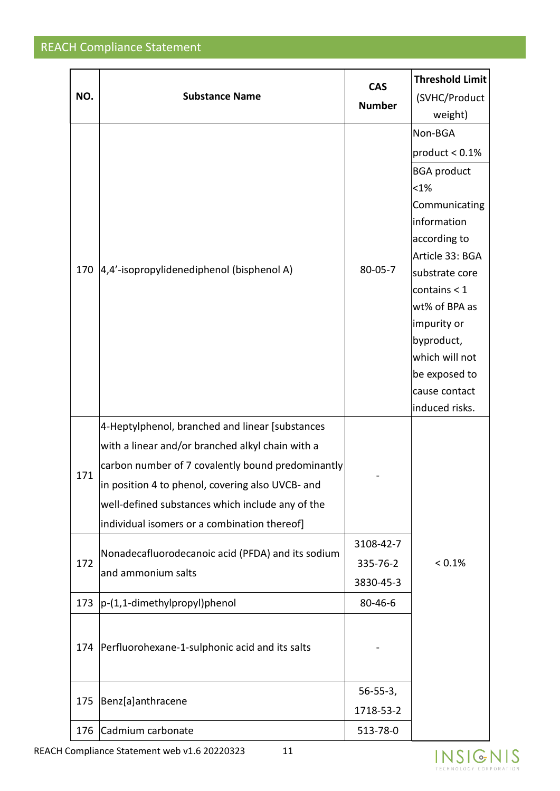| NO. |                                                   | <b>CAS</b>     | <b>Threshold Limit</b>          |
|-----|---------------------------------------------------|----------------|---------------------------------|
|     | <b>Substance Name</b>                             | <b>Number</b>  | (SVHC/Product                   |
|     |                                                   |                | weight)                         |
|     |                                                   |                | Non-BGA                         |
|     |                                                   |                | product $< 0.1\%$               |
|     |                                                   |                | <b>BGA product</b>              |
|     |                                                   |                | $< 1\%$                         |
|     |                                                   |                | Communicating                   |
|     |                                                   |                | information                     |
|     |                                                   |                | according to                    |
| 170 | 4,4'-isopropylidenediphenol (bisphenol A)         | $80 - 05 - 7$  | Article 33: BGA                 |
|     |                                                   |                | substrate core                  |
|     |                                                   |                | contains $<$ 1<br>wt% of BPA as |
|     |                                                   |                | impurity or                     |
|     |                                                   |                | byproduct,                      |
|     |                                                   |                | which will not                  |
|     |                                                   |                | be exposed to                   |
|     |                                                   |                | cause contact                   |
|     |                                                   |                | induced risks.                  |
|     | 4-Heptylphenol, branched and linear [substances   |                |                                 |
|     | with a linear and/or branched alkyl chain with a  |                |                                 |
| 171 | carbon number of 7 covalently bound predominantly |                |                                 |
|     | in position 4 to phenol, covering also UVCB- and  |                |                                 |
|     | well-defined substances which include any of the  |                |                                 |
|     | individual isomers or a combination thereof]      |                |                                 |
|     | Nonadecafluorodecanoic acid (PFDA) and its sodium | 3108-42-7      |                                 |
| 172 | and ammonium salts                                | 335-76-2       | $< 0.1\%$                       |
|     |                                                   | 3830-45-3      |                                 |
| 173 | $ p-(1,1-dimethylpropyl)$ phenol                  | 80-46-6        |                                 |
|     |                                                   |                |                                 |
| 174 | Perfluorohexane-1-sulphonic acid and its salts    |                |                                 |
|     |                                                   |                |                                 |
|     |                                                   | $56 - 55 - 3,$ |                                 |
| 175 | Benz[a]anthracene                                 | 1718-53-2      |                                 |
| 176 | Cadmium carbonate                                 | 513-78-0       |                                 |

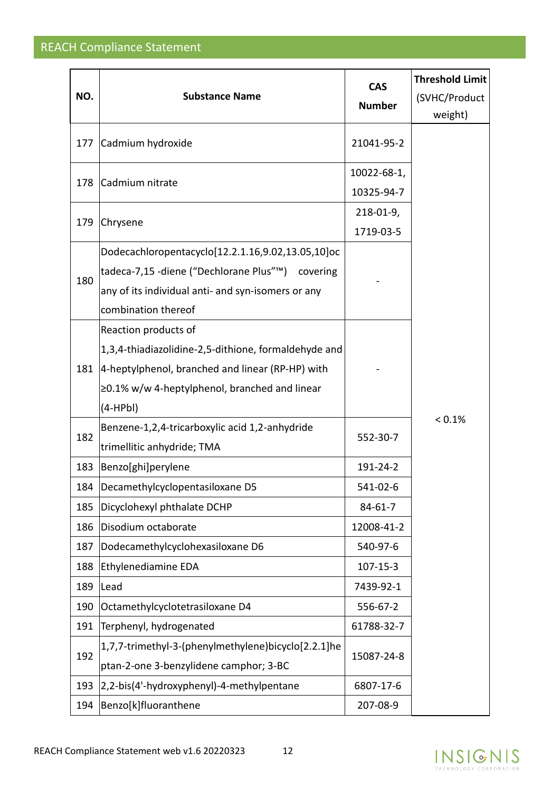| NO. | <b>Substance Name</b>                                | <b>CAS</b><br><b>Number</b> | <b>Threshold Limit</b><br>(SVHC/Product<br>weight) |
|-----|------------------------------------------------------|-----------------------------|----------------------------------------------------|
| 177 | Cadmium hydroxide                                    | 21041-95-2                  |                                                    |
|     |                                                      | 10022-68-1,                 |                                                    |
| 178 | Cadmium nitrate                                      | 10325-94-7                  |                                                    |
| 179 |                                                      | 218-01-9,                   |                                                    |
|     | Chrysene                                             | 1719-03-5                   |                                                    |
|     | Dodecachloropentacyclo[12.2.1.16,9.02,13.05,10]oc    |                             |                                                    |
| 180 | tadeca-7,15 -diene ("Dechlorane Plus"™) covering     |                             |                                                    |
|     | any of its individual anti- and syn-isomers or any   |                             |                                                    |
|     | combination thereof                                  |                             |                                                    |
|     | Reaction products of                                 |                             |                                                    |
|     | 1,3,4-thiadiazolidine-2,5-dithione, formaldehyde and |                             |                                                    |
| 181 | 4-heptylphenol, branched and linear (RP-HP) with     |                             |                                                    |
|     | ≥0.1% w/w 4-heptylphenol, branched and linear        |                             |                                                    |
|     | $(4-HPbl)$                                           |                             |                                                    |
| 182 | Benzene-1,2,4-tricarboxylic acid 1,2-anhydride       | 552-30-7                    | < 0.1%                                             |
|     | trimellitic anhydride; TMA                           |                             |                                                    |
| 183 | Benzo[ghi]perylene                                   | 191-24-2                    |                                                    |
| 184 | Decamethylcyclopentasiloxane D5                      | 541-02-6                    |                                                    |
| 185 | Dicyclohexyl phthalate DCHP                          | $84 - 61 - 7$               |                                                    |
| 186 | Disodium octaborate                                  | 12008-41-2                  |                                                    |
| 187 | Dodecamethylcyclohexasiloxane D6                     | 540-97-6                    |                                                    |
| 188 | Ethylenediamine EDA                                  | $107 - 15 - 3$              |                                                    |
| 189 | Lead                                                 | 7439-92-1                   |                                                    |
| 190 | Octamethylcyclotetrasiloxane D4                      | 556-67-2                    |                                                    |
| 191 | Terphenyl, hydrogenated                              | 61788-32-7                  |                                                    |
| 192 | 1,7,7-trimethyl-3-(phenylmethylene)bicyclo[2.2.1]he  | 15087-24-8                  |                                                    |
|     | ptan-2-one 3-benzylidene camphor; 3-BC               |                             |                                                    |
| 193 | 2,2-bis(4'-hydroxyphenyl)-4-methylpentane            | 6807-17-6                   |                                                    |
| 194 | Benzo[k]fluoranthene                                 | 207-08-9                    |                                                    |

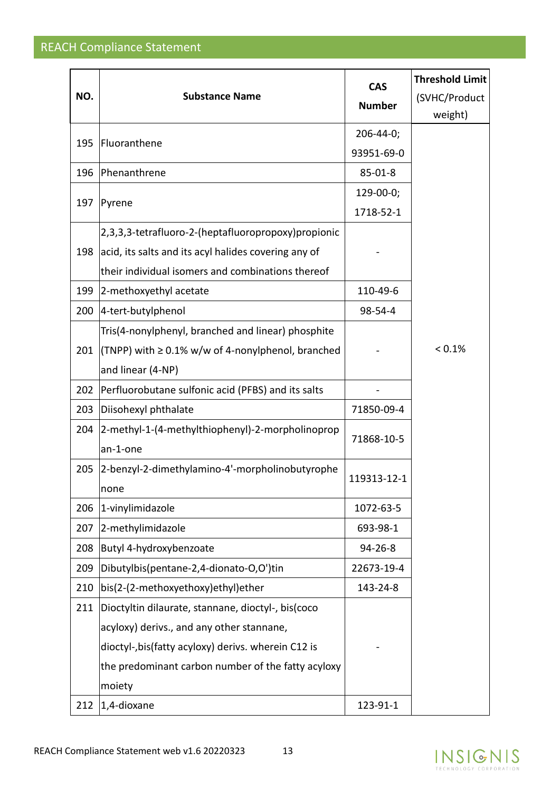| NO. | <b>Substance Name</b>                                     | <b>CAS</b><br><b>Number</b> | <b>Threshold Limit</b><br>(SVHC/Product |
|-----|-----------------------------------------------------------|-----------------------------|-----------------------------------------|
|     |                                                           |                             | weight)                                 |
| 195 | Fluoranthene                                              | $206 - 44 - 0;$             |                                         |
|     |                                                           | 93951-69-0                  |                                         |
| 196 | Phenanthrene                                              | $85 - 01 - 8$               |                                         |
| 197 | Pyrene                                                    | 129-00-0;                   |                                         |
|     |                                                           | 1718-52-1                   |                                         |
|     | 2,3,3,3-tetrafluoro-2-(heptafluoropropoxy) propionic      |                             |                                         |
| 198 | acid, its salts and its acyl halides covering any of      |                             |                                         |
|     | their individual isomers and combinations thereof         |                             |                                         |
| 199 | 2-methoxyethyl acetate                                    | 110-49-6                    |                                         |
| 200 | 4-tert-butylphenol                                        | 98-54-4                     |                                         |
|     | Tris(4-nonylphenyl, branched and linear) phosphite        |                             |                                         |
| 201 | $(TNPP)$ with $\geq 0.1\%$ w/w of 4-nonylphenol, branched |                             | < 0.1%                                  |
|     | and linear (4-NP)                                         |                             |                                         |
| 202 | Perfluorobutane sulfonic acid (PFBS) and its salts        |                             |                                         |
| 203 | Diisohexyl phthalate                                      | 71850-09-4                  |                                         |
| 204 | 2-methyl-1-(4-methylthiophenyl)-2-morpholinoprop          | 71868-10-5                  |                                         |
|     | an-1-one                                                  |                             |                                         |
| 205 | 2-benzyl-2-dimethylamino-4'-morpholinobutyrophe           | 119313-12-1                 |                                         |
|     | none                                                      |                             |                                         |
| 206 | 1-vinylimidazole                                          | 1072-63-5                   |                                         |
| 207 | 2-methylimidazole                                         | 693-98-1                    |                                         |
| 208 | Butyl 4-hydroxybenzoate                                   | $94 - 26 - 8$               |                                         |
| 209 | Dibutylbis(pentane-2,4-dionato-O,O')tin                   | 22673-19-4                  |                                         |
| 210 | bis(2-(2-methoxyethoxy)ethyl)ether                        | 143-24-8                    |                                         |
| 211 | Dioctyltin dilaurate, stannane, dioctyl-, bis(coco        |                             |                                         |
|     | acyloxy) derivs., and any other stannane,                 |                             |                                         |
|     | dioctyl-, bis (fatty acyloxy) derivs. wherein C12 is      |                             |                                         |
|     | the predominant carbon number of the fatty acyloxy        |                             |                                         |
|     | moiety                                                    |                             |                                         |
| 212 | $ 1,4$ -dioxane                                           | 123-91-1                    |                                         |

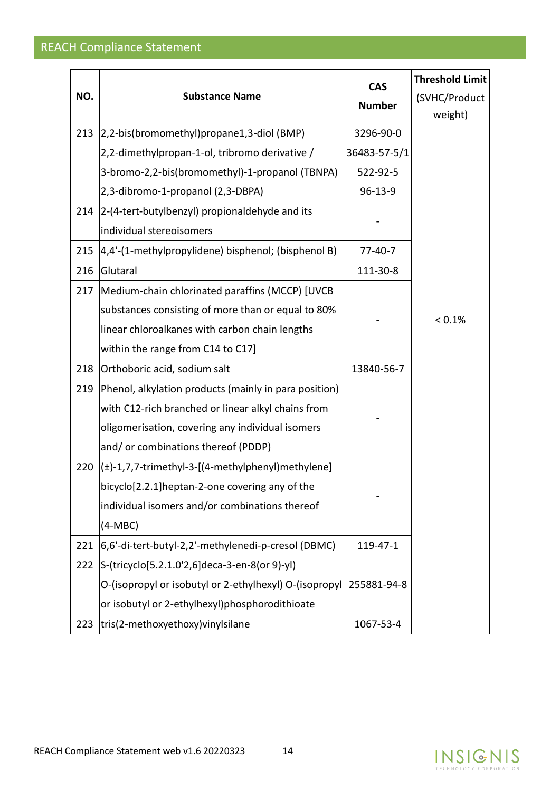| NO. | <b>Substance Name</b>                                  | <b>CAS</b><br><b>Number</b> | <b>Threshold Limit</b><br>(SVHC/Product<br>weight) |
|-----|--------------------------------------------------------|-----------------------------|----------------------------------------------------|
| 213 | 2,2-bis(bromomethyl)propane1,3-diol (BMP)              | 3296-90-0                   |                                                    |
|     | 2,2-dimethylpropan-1-ol, tribromo derivative /         | 36483-57-5/1                |                                                    |
|     | 3-bromo-2,2-bis(bromomethyl)-1-propanol (TBNPA)        | 522-92-5                    |                                                    |
|     | 2,3-dibromo-1-propanol (2,3-DBPA)                      | 96-13-9                     |                                                    |
| 214 | 2-(4-tert-butylbenzyl) propionaldehyde and its         |                             |                                                    |
|     | individual stereoisomers                               |                             |                                                    |
| 215 | [4,4'-(1-methylpropylidene) bisphenol; (bisphenol B)   | $77-40-7$                   |                                                    |
| 216 | Glutaral                                               | 111-30-8                    |                                                    |
| 217 | Medium-chain chlorinated paraffins (MCCP) [UVCB        |                             | < 0.1%                                             |
|     | substances consisting of more than or equal to 80%     |                             |                                                    |
|     | linear chloroalkanes with carbon chain lengths         |                             |                                                    |
|     | within the range from C14 to C17]                      |                             |                                                    |
| 218 | Orthoboric acid, sodium salt                           | 13840-56-7                  |                                                    |
| 219 | Phenol, alkylation products (mainly in para position)  |                             |                                                    |
|     | with C12-rich branched or linear alkyl chains from     |                             |                                                    |
|     | oligomerisation, covering any individual isomers       |                             |                                                    |
|     | and/or combinations thereof (PDDP)                     |                             |                                                    |
| 220 | (±)-1,7,7-trimethyl-3-[(4-methylphenyl)methylene]      |                             |                                                    |
|     | bicyclo[2.2.1]heptan-2-one covering any of the         |                             |                                                    |
|     | individual isomers and/or combinations thereof         |                             |                                                    |
|     | $(4-MBC)$                                              |                             |                                                    |
| 221 | 6,6'-di-tert-butyl-2,2'-methylenedi-p-cresol (DBMC)    | 119-47-1                    |                                                    |
| 222 | S-(tricyclo[5.2.1.0'2,6]deca-3-en-8(or 9)-yl)          |                             |                                                    |
|     | O-(isopropyl or isobutyl or 2-ethylhexyl) O-(isopropyl | 255881-94-8                 |                                                    |
|     | or isobutyl or 2-ethylhexyl)phosphorodithioate         |                             |                                                    |
| 223 | tris(2-methoxyethoxy) vinylsilane                      | 1067-53-4                   |                                                    |